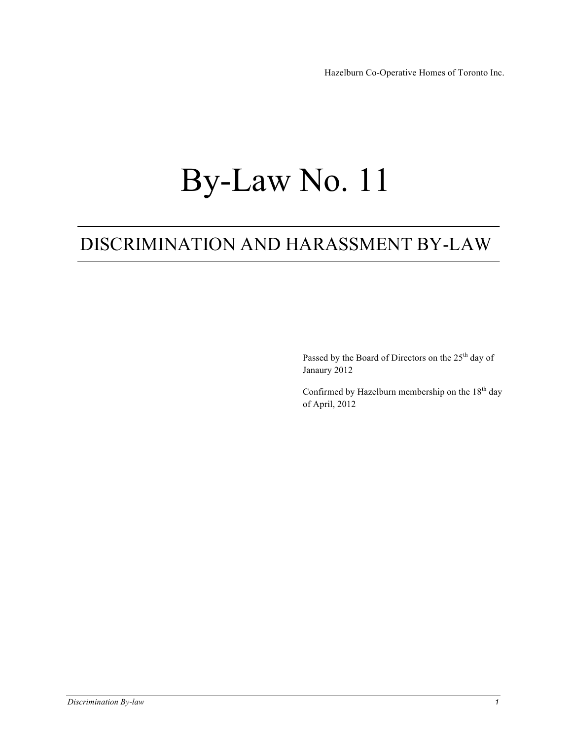# By-Law No. 11

## DISCRIMINATION AND HARASSMENT BY-LAW

Passed by the Board of Directors on the 25<sup>th</sup> day of Janaury 2012

Confirmed by Hazelburn membership on the  $18<sup>th</sup>$  day of April, 2012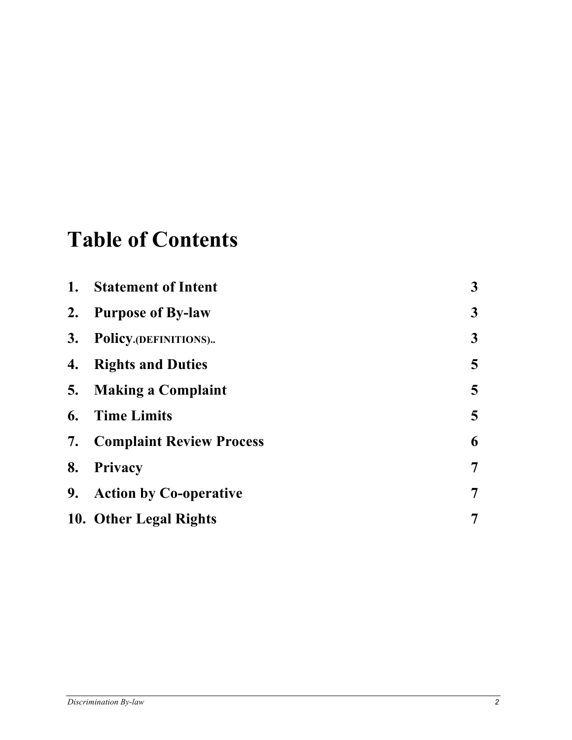## **Table of Contents**

| 1. | <b>Statement of Intent</b>         | $\mathbf{3}$    |
|----|------------------------------------|-----------------|
|    | 2. Purpose of By-law               | $\mathbf{3}$    |
| 3. | Policy.(DEFINITIONS)               | $\mathbf{3}$    |
| 4. | <b>Rights and Duties</b>           | $5\overline{)}$ |
|    | 5. Making a Complaint              | $5\overline{)}$ |
| 6. | <b>Time Limits</b>                 | $5\overline{)}$ |
|    | <b>7.</b> Complaint Review Process | 6               |
| 8. | Privacy                            | $\overline{7}$  |
|    | 9. Action by Co-operative          | $\overline{7}$  |
|    | 10. Other Legal Rights             | 7               |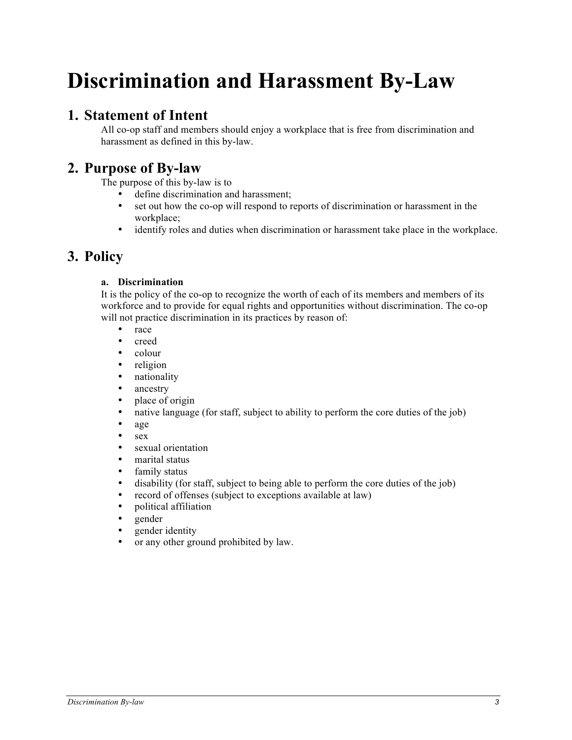## **Discrimination and Harassment By-Law**

## **1. Statement of Intent**

All co-op staff and members should enjoy a workplace that is free from discrimination and harassment as defined in this by-law.

## **2. Purpose of By-law**

The purpose of this by-law is to

- define discrimination and harassment;
- set out how the co-op will respond to reports of discrimination or harassment in the workplace;
- identify roles and duties when discrimination or harassment take place in the workplace.

## **3. Policy**

#### **a. Discrimination**

It is the policy of the co-op to recognize the worth of each of its members and members of its workforce and to provide for equal rights and opportunities without discrimination. The co-op will not practice discrimination in its practices by reason of:

- race
- creed
- colour
- religion
- nationality
- ancestry<br>• place of
- place of origin
- native language (for staff, subject to ability to perform the core duties of the job)
- age
- $sex$ <br>•  $sex$
- sexual orientation
- marital status
- family status
- disability (for staff, subject to being able to perform the core duties of the job)
- record of offenses (subject to exceptions available at law)
- political affiliation<br>• gender
- gender
- gender identity
- or any other ground prohibited by law.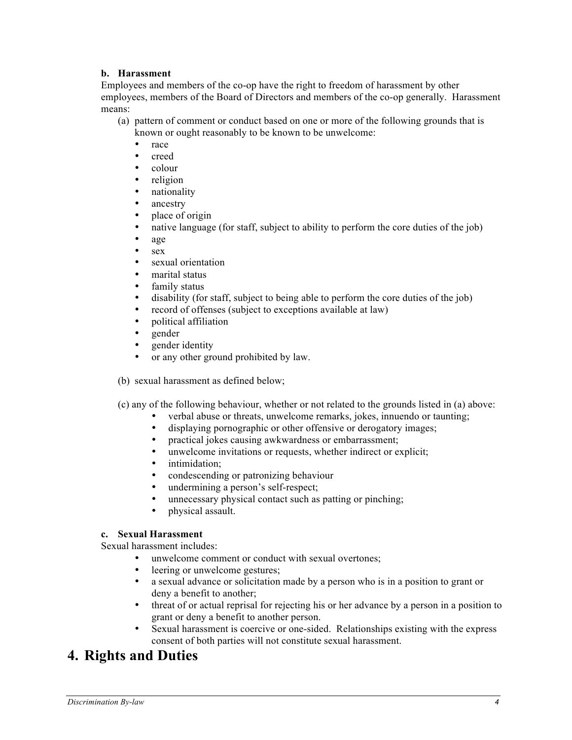#### **b. Harassment**

Employees and members of the co-op have the right to freedom of harassment by other employees, members of the Board of Directors and members of the co-op generally. Harassment means:

- (a) pattern of comment or conduct based on one or more of the following grounds that is known or ought reasonably to be known to be unwelcome:
	- race
	- creed
	- colour<br>• religion
	- religion
	- nationality
	- ancestry
	- place of origin
	- native language (for staff, subject to ability to perform the core duties of the job)
	- age
	- sex
	- sexual orientation
	- marital status
	- family status
	- disability (for staff, subject to being able to perform the core duties of the job)
	- record of offenses (subject to exceptions available at law)
	- political affiliation
	- gender
	- gender identity
	- or any other ground prohibited by law.
- (b) sexual harassment as defined below;
- (c) any of the following behaviour, whether or not related to the grounds listed in (a) above:
	- verbal abuse or threats, unwelcome remarks, jokes, innuendo or taunting;
	- displaying pornographic or other offensive or derogatory images;
	- practical jokes causing awkwardness or embarrassment;
	- unwelcome invitations or requests, whether indirect or explicit;<br>• intimidation:
	- intimidation;
	- condescending or patronizing behaviour
	- undermining a person's self-respect;
	- unnecessary physical contact such as patting or pinching;
	- physical assault.

#### **c. Sexual Harassment**

Sexual harassment includes:

- unwelcome comment or conduct with sexual overtones;
- leering or unwelcome gestures;
- a sexual advance or solicitation made by a person who is in a position to grant or deny a benefit to another;
- threat of or actual reprisal for rejecting his or her advance by a person in a position to grant or deny a benefit to another person.
- Sexual harassment is coercive or one-sided. Relationships existing with the express consent of both parties will not constitute sexual harassment.

## **4. Rights and Duties**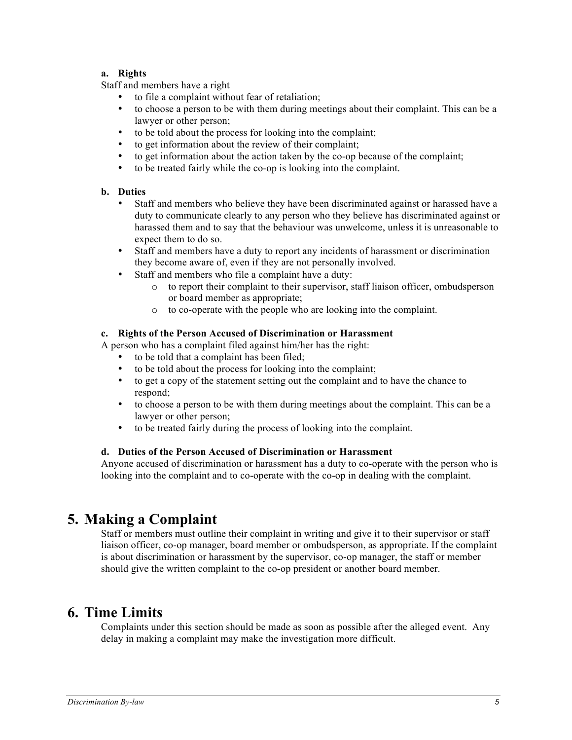#### **a. Rights**

Staff and members have a right

- to file a complaint without fear of retaliation;
- to choose a person to be with them during meetings about their complaint. This can be a lawyer or other person;
- to be told about the process for looking into the complaint;<br>• to get information about the review of their complaint;
- to get information about the review of their complaint;
- to get information about the action taken by the co-op because of the complaint;<br>• to be treated fairly while the co-op is looking into the complaint.
- to be treated fairly while the co-op is looking into the complaint.

#### **b. Duties**

- Staff and members who believe they have been discriminated against or harassed have a duty to communicate clearly to any person who they believe has discriminated against or harassed them and to say that the behaviour was unwelcome, unless it is unreasonable to expect them to do so.
- Staff and members have a duty to report any incidents of harassment or discrimination they become aware of, even if they are not personally involved.
- Staff and members who file a complaint have a duty:
	- o to report their complaint to their supervisor, staff liaison officer, ombudsperson or board member as appropriate;
	- o to co-operate with the people who are looking into the complaint.

#### **c. Rights of the Person Accused of Discrimination or Harassment**

A person who has a complaint filed against him/her has the right:

- to be told that a complaint has been filed;
- to be told about the process for looking into the complaint;<br>• to get a conv of the statement setting out the complaint and
- to get a copy of the statement setting out the complaint and to have the chance to respond;
- to choose a person to be with them during meetings about the complaint. This can be a lawyer or other person;
- to be treated fairly during the process of looking into the complaint.

#### **d. Duties of the Person Accused of Discrimination or Harassment**

Anyone accused of discrimination or harassment has a duty to co-operate with the person who is looking into the complaint and to co-operate with the co-op in dealing with the complaint.

## **5. Making a Complaint**

Staff or members must outline their complaint in writing and give it to their supervisor or staff liaison officer, co-op manager, board member or ombudsperson, as appropriate. If the complaint is about discrimination or harassment by the supervisor, co-op manager, the staff or member should give the written complaint to the co-op president or another board member.

## **6. Time Limits**

Complaints under this section should be made as soon as possible after the alleged event. Any delay in making a complaint may make the investigation more difficult.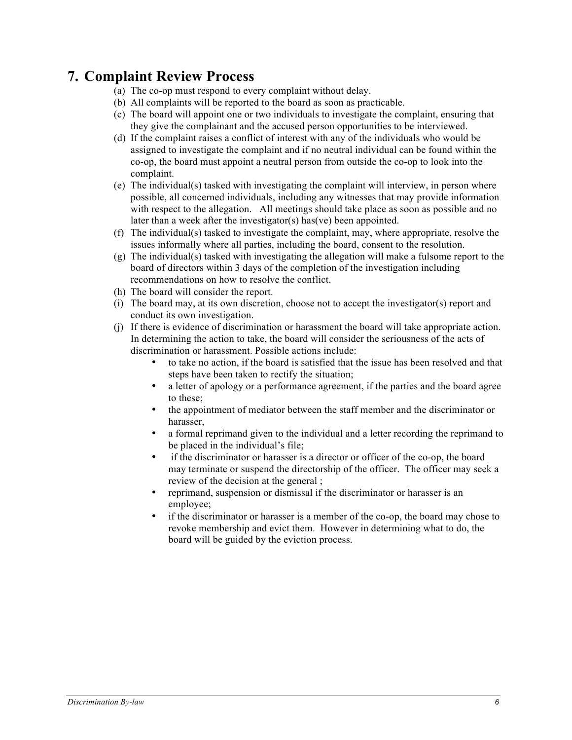## **7. Complaint Review Process**

- (a) The co-op must respond to every complaint without delay.
- (b) All complaints will be reported to the board as soon as practicable.
- (c) The board will appoint one or two individuals to investigate the complaint, ensuring that they give the complainant and the accused person opportunities to be interviewed.
- (d) If the complaint raises a conflict of interest with any of the individuals who would be assigned to investigate the complaint and if no neutral individual can be found within the co-op, the board must appoint a neutral person from outside the co-op to look into the complaint.
- (e) The individual(s) tasked with investigating the complaint will interview, in person where possible, all concerned individuals, including any witnesses that may provide information with respect to the allegation. All meetings should take place as soon as possible and no later than a week after the investigator(s) has(ve) been appointed.
- (f) The individual(s) tasked to investigate the complaint, may, where appropriate, resolve the issues informally where all parties, including the board, consent to the resolution.
- $(g)$  The individual(s) tasked with investigating the allegation will make a fulsome report to the board of directors within 3 days of the completion of the investigation including recommendations on how to resolve the conflict.
- (h) The board will consider the report.
- (i) The board may, at its own discretion, choose not to accept the investigator(s) report and conduct its own investigation.
- (j) If there is evidence of discrimination or harassment the board will take appropriate action. In determining the action to take, the board will consider the seriousness of the acts of discrimination or harassment. Possible actions include:
	- to take no action, if the board is satisfied that the issue has been resolved and that steps have been taken to rectify the situation;
	- a letter of apology or a performance agreement, if the parties and the board agree to these;
	- the appointment of mediator between the staff member and the discriminator or harasser,
	- a formal reprimand given to the individual and a letter recording the reprimand to be placed in the individual's file;
	- if the discriminator or harasser is a director or officer of the co-op, the board may terminate or suspend the directorship of the officer. The officer may seek a review of the decision at the general ;
	- reprimand, suspension or dismissal if the discriminator or harasser is an employee;
	- if the discriminator or harasser is a member of the co-op, the board may chose to revoke membership and evict them. However in determining what to do, the board will be guided by the eviction process.